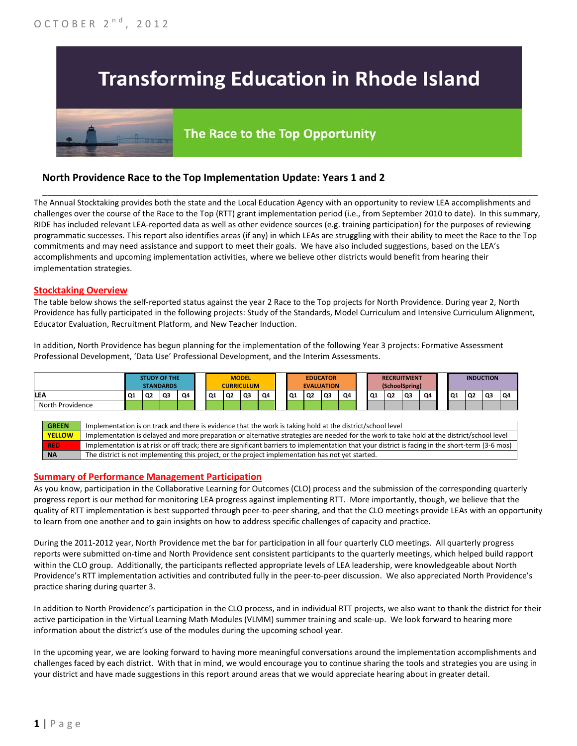# **Transforming Education in Rhode Island**

## The Race to the Top Opportunity

### **North Providence Race to the Top Implementation Update: Years 1 and 2**

The Annual Stocktaking provides both the state and the Local Education Agency with an opportunity to review LEA accomplishments and challenges over the course of the Race to the Top (RTT) grant implementation period (i.e., from September 2010 to date). In this summary, RIDE has included relevant LEA-reported data as well as other evidence sources (e.g. training participation) for the purposes of reviewing programmatic successes. This report also identifies areas (if any) in which LEAs are struggling with their ability to meet the Race to the Top commitments and may need assistance and support to meet their goals. We have also included suggestions, based on the LEA's accomplishments and upcoming implementation activities, where we believe other districts would benefit from hearing their implementation strategies.

\_\_\_\_\_\_\_\_\_\_\_\_\_\_\_\_\_\_\_\_\_\_\_\_\_\_\_\_\_\_\_\_\_\_\_\_\_\_\_\_\_\_\_\_\_\_\_\_\_\_\_\_\_\_\_\_\_\_\_\_\_\_\_\_\_\_\_\_\_\_\_\_\_\_\_\_\_\_\_\_\_\_\_\_\_\_\_\_\_\_\_\_\_\_\_\_

#### **Stocktaking Overview**

The table below shows the self-reported status against the year 2 Race to the Top projects for North Providence. During year 2, North Providence has fully participated in the following projects: Study of the Standards, Model Curriculum and Intensive Curriculum Alignment, Educator Evaluation, Recruitment Platform, and New Teacher Induction.

In addition, North Providence has begun planning for the implementation of the following Year 3 projects: Formative Assessment Professional Development, 'Data Use' Professional Development, and the Interim Assessments.



#### **Summary of Performance Management Participation**

As you know, participation in the Collaborative Learning for Outcomes (CLO) process and the submission of the corresponding quarterly progress report is our method for monitoring LEA progress against implementing RTT. More importantly, though, we believe that the quality of RTT implementation is best supported through peer-to-peer sharing, and that the CLO meetings provide LEAs with an opportunity to learn from one another and to gain insights on how to address specific challenges of capacity and practice.

During the 2011-2012 year, North Providence met the bar for participation in all four quarterly CLO meetings. All quarterly progress reports were submitted on-time and North Providence sent consistent participants to the quarterly meetings, which helped build rapport within the CLO group. Additionally, the participants reflected appropriate levels of LEA leadership, were knowledgeable about North Providence's RTT implementation activities and contributed fully in the peer-to-peer discussion. We also appreciated North Providence's practice sharing during quarter 3.

In addition to North Providence's participation in the CLO process, and in individual RTT projects, we also want to thank the district for their active participation in the Virtual Learning Math Modules (VLMM) summer training and scale-up. We look forward to hearing more information about the district's use of the modules during the upcoming school year.

In the upcoming year, we are looking forward to having more meaningful conversations around the implementation accomplishments and challenges faced by each district. With that in mind, we would encourage you to continue sharing the tools and strategies you are using in your district and have made suggestions in this report around areas that we would appreciate hearing about in greater detail.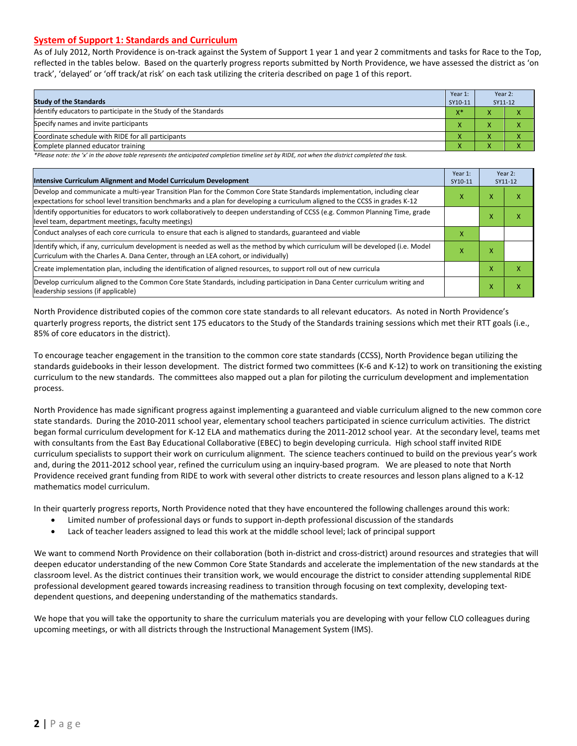#### **System of Support 1: Standards and Curriculum**

As of July 2012, North Providence is on-track against the System of Support 1 year 1 and year 2 commitments and tasks for Race to the Top, reflected in the tables below. Based on the quarterly progress reports submitted by North Providence, we have assessed the district as 'on track', 'delayed' or 'off track/at risk' on each task utilizing the criteria described on page 1 of this report.

| <b>Study of the Standards</b>                                   | Year 1:<br>SY10-11 | Year 2:<br>SY11-12 |  |
|-----------------------------------------------------------------|--------------------|--------------------|--|
| Identify educators to participate in the Study of the Standards |                    |                    |  |
| Specify names and invite participants                           |                    |                    |  |
| Coordinate schedule with RIDE for all participants              |                    |                    |  |
| Complete planned educator training                              | $\mathbf{\Lambda}$ | ∧                  |  |

*\*Please note: the 'x' in the above table represents the anticipated completion timeline set by RIDE, not when the district completed the task.*

| Intensive Curriculum Alignment and Model Curriculum Development                                                                                                                                                                                           |   |   | Year 2:<br>SY11-12 |
|-----------------------------------------------------------------------------------------------------------------------------------------------------------------------------------------------------------------------------------------------------------|---|---|--------------------|
| Develop and communicate a multi-year Transition Plan for the Common Core State Standards implementation, including clear<br>expectations for school level transition benchmarks and a plan for developing a curriculum aligned to the CCSS in grades K-12 |   |   | x                  |
| Identify opportunities for educators to work collaboratively to deepen understanding of CCSS (e.g. Common Planning Time, grade<br>level team, department meetings, faculty meetings)                                                                      |   | x | x                  |
| Conduct analyses of each core curricula to ensure that each is aligned to standards, guaranteed and viable                                                                                                                                                | х |   |                    |
| ldentify which, if any, curriculum development is needed as well as the method by which curriculum will be developed (i.e. Model<br>x<br>Curriculum with the Charles A. Dana Center, through an LEA cohort, or individually)                              |   |   |                    |
| Create implementation plan, including the identification of aligned resources, to support roll out of new curricula                                                                                                                                       |   | x | x                  |
| Develop curriculum aligned to the Common Core State Standards, including participation in Dana Center curriculum writing and<br>leadership sessions (if applicable)                                                                                       |   | Χ | x                  |

North Providence distributed copies of the common core state standards to all relevant educators. As noted in North Providence's quarterly progress reports, the district sent 175 educators to the Study of the Standards training sessions which met their RTT goals (i.e., 85% of core educators in the district).

To encourage teacher engagement in the transition to the common core state standards (CCSS), North Providence began utilizing the standards guidebooks in their lesson development. The district formed two committees (K-6 and K-12) to work on transitioning the existing curriculum to the new standards. The committees also mapped out a plan for piloting the curriculum development and implementation process.

North Providence has made significant progress against implementing a guaranteed and viable curriculum aligned to the new common core state standards. During the 2010-2011 school year, elementary school teachers participated in science curriculum activities. The district began formal curriculum development for K-12 ELA and mathematics during the 2011-2012 school year. At the secondary level, teams met with consultants from the East Bay Educational Collaborative (EBEC) to begin developing curricula. High school staff invited RIDE curriculum specialists to support their work on curriculum alignment. The science teachers continued to build on the previous year's work and, during the 2011-2012 school year, refined the curriculum using an inquiry-based program. We are pleased to note that North Providence received grant funding from RIDE to work with several other districts to create resources and lesson plans aligned to a K-12 mathematics model curriculum.

In their quarterly progress reports, North Providence noted that they have encountered the following challenges around this work:

- Limited number of professional days or funds to support in-depth professional discussion of the standards
- Lack of teacher leaders assigned to lead this work at the middle school level; lack of principal support

We want to commend North Providence on their collaboration (both in-district and cross-district) around resources and strategies that will deepen educator understanding of the new Common Core State Standards and accelerate the implementation of the new standards at the classroom level. As the district continues their transition work, we would encourage the district to consider attending supplemental RIDE professional development geared towards increasing readiness to transition through focusing on text complexity, developing textdependent questions, and deepening understanding of the mathematics standards.

We hope that you will take the opportunity to share the curriculum materials you are developing with your fellow CLO colleagues during upcoming meetings, or with all districts through the Instructional Management System (IMS).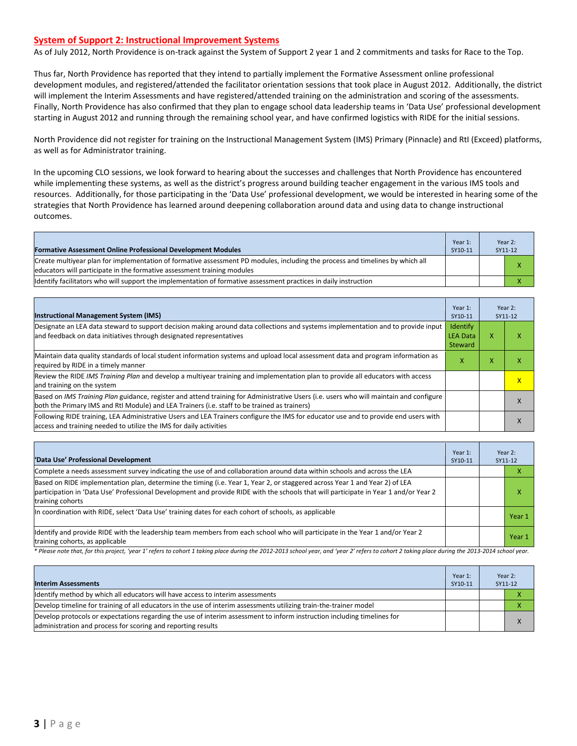#### **System of Support 2: Instructional Improvement Systems**

As of July 2012, North Providence is on-track against the System of Support 2 year 1 and 2 commitments and tasks for Race to the Top.

Thus far, North Providence has reported that they intend to partially implement the Formative Assessment online professional development modules, and registered/attended the facilitator orientation sessions that took place in August 2012. Additionally, the district will implement the Interim Assessments and have registered/attended training on the administration and scoring of the assessments. Finally, North Providence has also confirmed that they plan to engage school data leadership teams in 'Data Use' professional development starting in August 2012 and running through the remaining school year, and have confirmed logistics with RIDE for the initial sessions.

North Providence did not register for training on the Instructional Management System (IMS) Primary (Pinnacle) and RtI (Exceed) platforms, as well as for Administrator training.

In the upcoming CLO sessions, we look forward to hearing about the successes and challenges that North Providence has encountered while implementing these systems, as well as the district's progress around building teacher engagement in the various IMS tools and resources. Additionally, for those participating in the 'Data Use' professional development, we would be interested in hearing some of the strategies that North Providence has learned around deepening collaboration around data and using data to change instructional outcomes.

| <b>Formative Assessment Online Professional Development Modules</b>                                                                                                                                      | Year 1:<br>SY10-11 | Year 2:<br>SY11-12 |
|----------------------------------------------------------------------------------------------------------------------------------------------------------------------------------------------------------|--------------------|--------------------|
| Create multiyear plan for implementation of formative assessment PD modules, including the process and timelines by which all<br>educators will participate in the formative assessment training modules |                    |                    |
| ldentify facilitators who will support the implementation of formative assessment practices in daily instruction                                                                                         |                    |                    |

| <b>Instructional Management System (IMS)</b>                                                                                                                                                                                           | Year 1:<br>SY10-11                     |   | Year 2:<br>SY11-12      |
|----------------------------------------------------------------------------------------------------------------------------------------------------------------------------------------------------------------------------------------|----------------------------------------|---|-------------------------|
| Designate an LEA data steward to support decision making around data collections and systems implementation and to provide input<br>and feedback on data initiatives through designated representatives                                | Identify<br><b>LEA Data</b><br>Steward | x | x                       |
| Maintain data quality standards of local student information systems and upload local assessment data and program information as<br>required by RIDE in a timely manner                                                                | X                                      | x | х                       |
| Review the RIDE IMS Training Plan and develop a multiyear training and implementation plan to provide all educators with access<br>and training on the system                                                                          |                                        |   | $\overline{\mathsf{x}}$ |
| Based on IMS Training Plan guidance, register and attend training for Administrative Users (i.e. users who will maintain and configure<br>both the Primary IMS and RtI Module) and LEA Trainers (i.e. staff to be trained as trainers) |                                        |   |                         |
| Following RIDE training, LEA Administrative Users and LEA Trainers configure the IMS for educator use and to provide end users with<br>access and training needed to utilize the IMS for daily activities                              |                                        |   | л                       |

| 'Data Use' Professional Development                                                                                                                                                                                                                                                     | Year 1:<br>SY10-11 |  | Year 2:<br>SY11-12 |
|-----------------------------------------------------------------------------------------------------------------------------------------------------------------------------------------------------------------------------------------------------------------------------------------|--------------------|--|--------------------|
| Complete a needs assessment survey indicating the use of and collaboration around data within schools and across the LEA                                                                                                                                                                |                    |  | х                  |
| Based on RIDE implementation plan, determine the timing (i.e. Year 1, Year 2, or staggered across Year 1 and Year 2) of LEA<br>participation in 'Data Use' Professional Development and provide RIDE with the schools that will participate in Year 1 and/or Year 2<br>training cohorts |                    |  | χ                  |
| In coordination with RIDE, select 'Data Use' training dates for each cohort of schools, as applicable                                                                                                                                                                                   |                    |  | Year 1             |
| ldentify and provide RIDE with the leadership team members from each school who will participate in the Year 1 and/or Year 2<br>training cohorts, as applicable                                                                                                                         |                    |  | Year 1             |

*\* Please note that, for this project, 'year 1' refers to cohort 1 taking place during the 2012-2013 school year, and 'year 2' refers to cohort 2 taking place during the 2013-2014 school year.*

| <b>Interim Assessments</b>                                                                                                                                                              | Year 1:<br>SY10-11 | Year 2:<br>SY11-12 |
|-----------------------------------------------------------------------------------------------------------------------------------------------------------------------------------------|--------------------|--------------------|
| Identify method by which all educators will have access to interim assessments                                                                                                          |                    |                    |
| Develop timeline for training of all educators in the use of interim assessments utilizing train-the-trainer model                                                                      |                    |                    |
| Develop protocols or expectations regarding the use of interim assessment to inform instruction including timelines for<br>administration and process for scoring and reporting results |                    | $\mathbf v$        |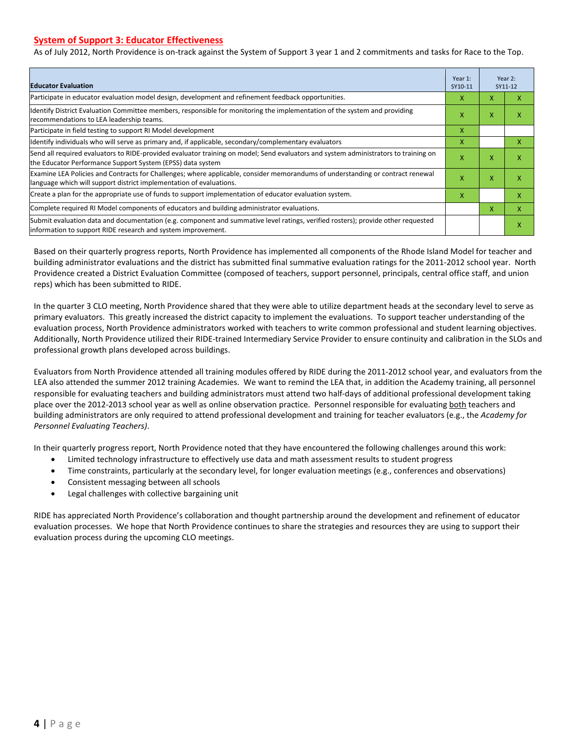#### **System of Support 3: Educator Effectiveness**

As of July 2012, North Providence is on-track against the System of Support 3 year 1 and 2 commitments and tasks for Race to the Top.

| <b>Educator Evaluation</b>                                                                                                                                                                            |   |   | Year 2:<br>SY11-12 |  |
|-------------------------------------------------------------------------------------------------------------------------------------------------------------------------------------------------------|---|---|--------------------|--|
| Participate in educator evaluation model design, development and refinement feedback opportunities.                                                                                                   | x | x | x                  |  |
| Identify District Evaluation Committee members, responsible for monitoring the implementation of the system and providing<br>recommendations to LEA leadership teams.                                 | x | X | x                  |  |
| Participate in field testing to support RI Model development                                                                                                                                          | X |   |                    |  |
| Identify individuals who will serve as primary and, if applicable, secondary/complementary evaluators                                                                                                 | X |   | X                  |  |
| Send all required evaluators to RIDE-provided evaluator training on model; Send evaluators and system administrators to training on<br>the Educator Performance Support System (EPSS) data system     | X | X | X                  |  |
| Examine LEA Policies and Contracts for Challenges; where applicable, consider memorandums of understanding or contract renewal<br>language which will support district implementation of evaluations. |   | X | X                  |  |
| Create a plan for the appropriate use of funds to support implementation of educator evaluation system.                                                                                               |   |   | x                  |  |
| Complete required RI Model components of educators and building administrator evaluations.                                                                                                            |   |   | X                  |  |
| Submit evaluation data and documentation (e.g. component and summative level ratings, verified rosters); provide other requested<br>linformation to support RIDE research and system improvement.     |   |   | X                  |  |

Based on their quarterly progress reports, North Providence has implemented all components of the Rhode Island Model for teacher and building administrator evaluations and the district has submitted final summative evaluation ratings for the 2011-2012 school year. North Providence created a District Evaluation Committee (composed of teachers, support personnel, principals, central office staff, and union reps) which has been submitted to RIDE.

In the quarter 3 CLO meeting, North Providence shared that they were able to utilize department heads at the secondary level to serve as primary evaluators. This greatly increased the district capacity to implement the evaluations. To support teacher understanding of the evaluation process, North Providence administrators worked with teachers to write common professional and student learning objectives. Additionally, North Providence utilized their RIDE-trained Intermediary Service Provider to ensure continuity and calibration in the SLOs and professional growth plans developed across buildings.

Evaluators from North Providence attended all training modules offered by RIDE during the 2011-2012 school year, and evaluators from the LEA also attended the summer 2012 training Academies. We want to remind the LEA that, in addition the Academy training, all personnel responsible for evaluating teachers and building administrators must attend two half-days of additional professional development taking place over the 2012-2013 school year as well as online observation practice. Personnel responsible for evaluating both teachers and building administrators are only required to attend professional development and training for teacher evaluators (e.g., the *Academy for Personnel Evaluating Teachers)*.

In their quarterly progress report, North Providence noted that they have encountered the following challenges around this work:

- Limited technology infrastructure to effectively use data and math assessment results to student progress
- Time constraints, particularly at the secondary level, for longer evaluation meetings (e.g., conferences and observations)
- Consistent messaging between all schools
- Legal challenges with collective bargaining unit

RIDE has appreciated North Providence's collaboration and thought partnership around the development and refinement of educator evaluation processes. We hope that North Providence continues to share the strategies and resources they are using to support their evaluation process during the upcoming CLO meetings.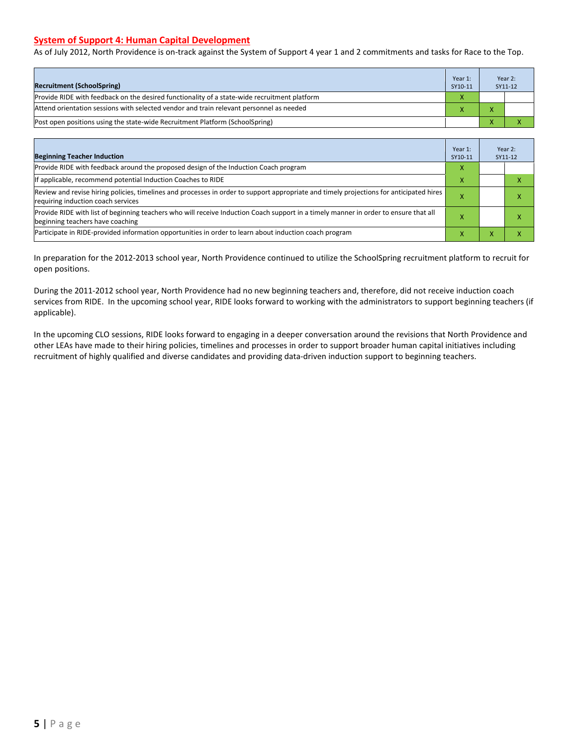#### **System of Support 4: Human Capital Development**

As of July 2012, North Providence is on-track against the System of Support 4 year 1 and 2 commitments and tasks for Race to the Top.

| <b>Recruitment (SchoolSpring)</b>                                                            | Year 1:<br>SY10-11 |              | Year 2:<br>SY11-12 |
|----------------------------------------------------------------------------------------------|--------------------|--------------|--------------------|
| Provide RIDE with feedback on the desired functionality of a state-wide recruitment platform |                    |              |                    |
| Attend orientation sessions with selected vendor and train relevant personnel as needed      |                    |              |                    |
| (Post open positions using the state-wide Recruitment Platform (SchoolSpring)                |                    | $\mathbf{v}$ |                    |

| <b>Beginning Teacher Induction</b>                                                                                                                                            | Year 1:<br>SY10-11 |   | Year 2:<br>SY11-12 |
|-------------------------------------------------------------------------------------------------------------------------------------------------------------------------------|--------------------|---|--------------------|
| Provide RIDE with feedback around the proposed design of the Induction Coach program                                                                                          | x                  |   |                    |
| If applicable, recommend potential Induction Coaches to RIDE                                                                                                                  |                    |   |                    |
| Review and revise hiring policies, timelines and processes in order to support appropriate and timely projections for anticipated hires<br>requiring induction coach services |                    |   |                    |
| Provide RIDE with list of beginning teachers who will receive Induction Coach support in a timely manner in order to ensure that all<br>beginning teachers have coaching      |                    |   |                    |
| Participate in RIDE-provided information opportunities in order to learn about induction coach program                                                                        | ж                  | v |                    |

In preparation for the 2012-2013 school year, North Providence continued to utilize the SchoolSpring recruitment platform to recruit for open positions.

During the 2011-2012 school year, North Providence had no new beginning teachers and, therefore, did not receive induction coach services from RIDE. In the upcoming school year, RIDE looks forward to working with the administrators to support beginning teachers (if applicable).

In the upcoming CLO sessions, RIDE looks forward to engaging in a deeper conversation around the revisions that North Providence and other LEAs have made to their hiring policies, timelines and processes in order to support broader human capital initiatives including recruitment of highly qualified and diverse candidates and providing data-driven induction support to beginning teachers.